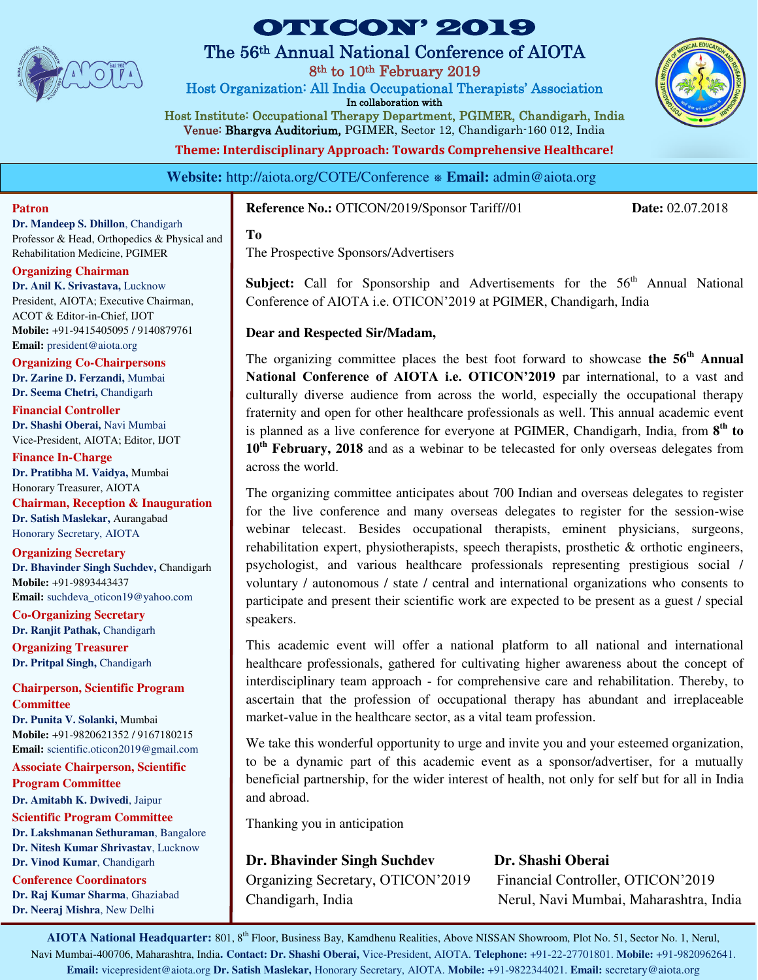

## The 56th Annual National Conference of AIOTA

8th to 10th February 2019

Host Organization: All India Occupational Therapists' Association In collaboration with

Host Institute: Occupational Therapy Department, PGIMER, Chandigarh, India Venue: Bhargva Auditorium, PGIMER, Sector 12, Chandigarh-160 012, India

**Theme: Interdisciplinary Approach: Towards Comprehensive Healthcare!** 

**Website:** http://aiota.org/COTE/Conference ⎈ **Email:** admin@aiota.org

## **Patron**

**Dr. Mandeep S. Dhillon**, Chandigarh Professor & Head, Orthopedics & Physical and Rehabilitation Medicine, PGIMER

## **Organizing Chairman**

**Dr. Anil K. Srivastava,** Lucknow President, AIOTA; Executive Chairman, ACOT & Editor-in-Chief, IJOT **Mobile:** +91-9415405095 / 9140879761 **Email:** [president@aiota.org](mailto:president@aiota.org) 

**Organizing Co-Chairpersons Dr. Zarine D. Ferzandi,** Mumbai **Dr. Seema Chetri,** Chandigarh

**Financial Controller Dr. Shashi Oberai,** Navi Mumbai Vice-President, AIOTA; Editor, IJOT

**Finance In-Charge Dr. Pratibha M. Vaidya,** Mumbai Honorary Treasurer, AIOTA **Chairman, Reception & Inauguration Dr. Satish Maslekar,** Aurangabad Honorary Secretary, AIOTA

**Organizing Secretary Dr. Bhavinder Singh Suchdev,** Chandigarh **Mobile:** +91-9893443437 **Email:** suchdeva\_oticon19@yahoo.com

**Co-Organizing Secretary Dr. Ranjit Pathak,** Chandigarh **Organizing Treasurer** 

**Dr. Pritpal Singh,** Chandigarh

**Chairperson, Scientific Program Committee** 

**Dr. Punita V. Solanki,** Mumbai **Mobile:** +91-9820621352 / 9167180215 **Email:** [scientific.oticon2019@gmail.com](mailto:scientific.oticon2019@gmail.com) 

**Associate Chairperson, Scientific Program Committee**

**Dr. Amitabh K. Dwivedi**, Jaipur

**Scientific Program Committee Dr. Lakshmanan Sethuraman**, Bangalore **Dr. Nitesh Kumar Shrivastav**, Lucknow **Dr. Vinod Kumar**, Chandigarh

**Conference Coordinators Dr. Raj Kumar Sharma**, Ghaziabad **Dr. Neeraj Mishra**, New Delhi

## **Reference No.:** OTICON/2019/Sponsor Tariff//01 **Date:** 02.07.2018

### **To**

The Prospective Sponsors/Advertisers

**Subject:** Call for Sponsorship and Advertisements for the 56<sup>th</sup> Annual National Conference of AIOTA i.e. OTICON'2019 at PGIMER, Chandigarh, India

## **Dear and Respected Sir/Madam,**

The organizing committee places the best foot forward to showcase **the 56th Annual National Conference of AIOTA i.e. OTICON'2019** par international, to a vast and culturally diverse audience from across the world, especially the occupational therapy fraternity and open for other healthcare professionals as well. This annual academic event is planned as a live conference for everyone at PGIMER, Chandigarh, India, from  $8<sup>th</sup>$  to **10th February, 2018** and as a webinar to be telecasted for only overseas delegates from across the world.

The organizing committee anticipates about 700 Indian and overseas delegates to register for the live conference and many overseas delegates to register for the session-wise webinar telecast. Besides occupational therapists, eminent physicians, surgeons, rehabilitation expert, physiotherapists, speech therapists, prosthetic & orthotic engineers, psychologist, and various healthcare professionals representing prestigious social / voluntary / autonomous / state / central and international organizations who consents to participate and present their scientific work are expected to be present as a guest / special speakers.

This academic event will offer a national platform to all national and international healthcare professionals, gathered for cultivating higher awareness about the concept of interdisciplinary team approach - for comprehensive care and rehabilitation. Thereby, to ascertain that the profession of occupational therapy has abundant and irreplaceable market-value in the healthcare sector, as a vital team profession.

We take this wonderful opportunity to urge and invite you and your esteemed organization, to be a dynamic part of this academic event as a sponsor/advertiser, for a mutually beneficial partnership, for the wider interest of health, not only for self but for all in India and abroad.

Thanking you in anticipation

**Dr. Bhavinder Singh Suchdev Dr. Shashi Oberai** 

Organizing Secretary, OTICON'2019 Financial Controller, OTICON'2019 Chandigarh, India Nerul, Navi Mumbai, Maharashtra, India

**AIOTA National Headquarter:** 801, 8th Floor, Business Bay, Kamdhenu Realities, Above NISSAN Showroom, Plot No. 51, Sector No. 1, Nerul, Navi Mumbai-400706, Maharashtra, India**. Contact: Dr. Shashi Oberai,** Vice-President, AIOTA. **Telephone:** +91-22-27701801. **Mobile:** +91-9820962641. **Email:** vicepresident@aiota.org **Dr. Satish Maslekar,** Honorary Secretary, AIOTA. **Mobile:** +91-9822344021. **Email:** secretary@aiota.org

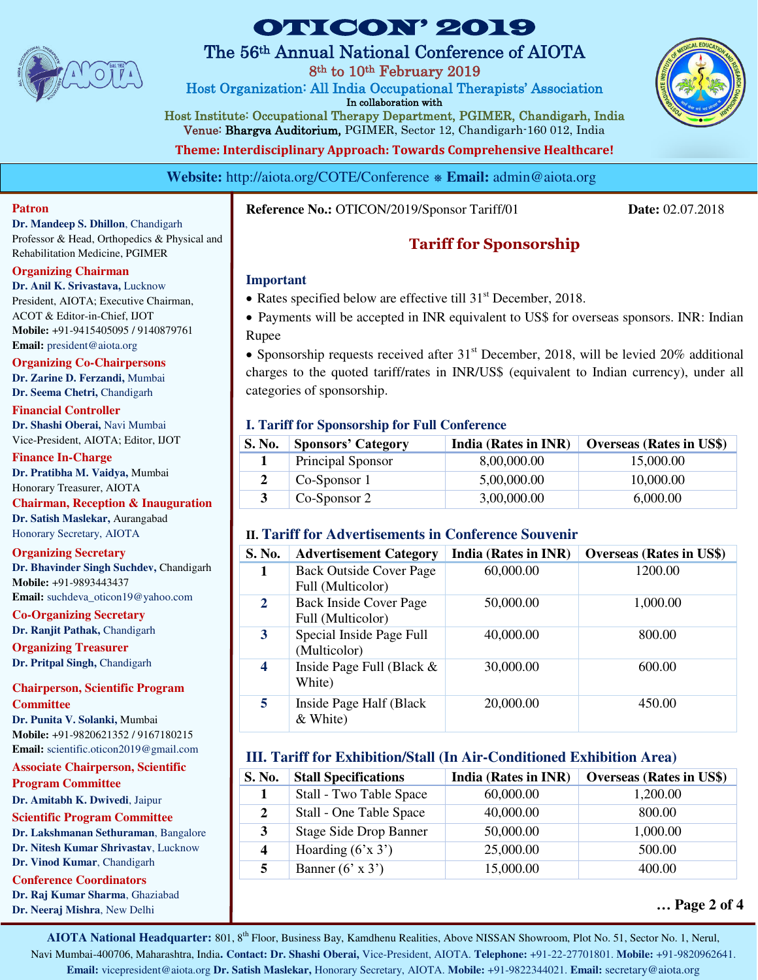

# The 56th Annual National Conference of AIOTA

8th to 10th February 2019

Host Organization: All India Occupational Therapists' Association In collaboration with

Host Institute: Occupational Therapy Department, PGIMER, Chandigarh, India Venue: Bhargva Auditorium, PGIMER, Sector 12, Chandigarh-160 012, India

**Theme: Interdisciplinary Approach: Towards Comprehensive Healthcare!** 

**Website:** http://aiota.org/COTE/Conference ⎈ **Email:** admin@aiota.org

#### **Patron**

**Dr. Mandeep S. Dhillon**, Chandigarh Professor & Head, Orthopedics & Physical and Rehabilitation Medicine, PGIMER

### **Organizing Chairman**

**Dr. Anil K. Srivastava,** Lucknow President, AIOTA; Executive Chairman, ACOT & Editor-in-Chief, IJOT **Mobile:** +91-9415405095 / 9140879761 **Email:** [president@aiota.org](mailto:president@aiota.org) 

**Organizing Co-Chairpersons Dr. Zarine D. Ferzandi,** Mumbai **Dr. Seema Chetri,** Chandigarh

**Financial Controller Dr. Shashi Oberai,** Navi Mumbai Vice-President, AIOTA; Editor, IJOT

**Finance In-Charge Dr. Pratibha M. Vaidya,** Mumbai Honorary Treasurer, AIOTA

**Chairman, Reception & Inauguration Dr. Satish Maslekar,** Aurangabad

# Honorary Secretary, AIOTA

**Organizing Secretary** 

**Dr. Bhavinder Singh Suchdev,** Chandigarh **Mobile:** +91-9893443437 **Email:** suchdeva\_oticon19@yahoo.com

**Co-Organizing Secretary Dr. Ranjit Pathak,** Chandigarh

**Organizing Treasurer Dr. Pritpal Singh,** Chandigarh

### **Chairperson, Scientific Program Committee**

**Dr. Punita V. Solanki,** Mumbai **Mobile:** +91-9820621352 / 9167180215 **Email:** [scientific.oticon2019@gmail.com](mailto:scientific.oticon2019@gmail.com) 

**Associate Chairperson, Scientific Program Committee**

**Dr. Amitabh K. Dwivedi**, Jaipur

## **Scientific Program Committee**

**Dr. Lakshmanan Sethuraman**, Bangalore **Dr. Nitesh Kumar Shrivastav**, Lucknow **Dr. Vinod Kumar**, Chandigarh

## **Conference Coordinators**

**Dr. Raj Kumar Sharma**, Ghaziabad **Dr. Neeraj Mishra**, New Delhi

**Reference No.:** OTICON/2019/Sponsor Tariff/01 **Date:** 02.07.2018

# **Tariff for Sponsorship**

## **Important**

- Rates specified below are effective till  $31<sup>st</sup>$  December, 2018.
- Payments will be accepted in INR equivalent to US\$ for overseas sponsors. INR: Indian Rupee

• Sponsorship requests received after  $31<sup>st</sup>$  December, 2018, will be levied 20% additional charges to the quoted tariff/rates in INR/US\$ (equivalent to Indian currency), under all categories of sponsorship.

## **I. Tariff for Sponsorship for Full Conference**

| S. No. | <b>Sponsors' Category</b> | India (Rates in INR) | <b>Overseas (Rates in US\$)</b> |
|--------|---------------------------|----------------------|---------------------------------|
|        | Principal Sponsor         | 8.00.000.00          | 15,000.00                       |
|        | Co-Sponsor 1              | 5,00,000.00          | 10,000.00                       |
|        | Co-Sponsor 2              | 3,00,000.00          | 6.000.00                        |

## **II. Tariff for Advertisements in Conference Souvenir**

| S. No.       | <b>Advertisement Category</b>                       | <b>India (Rates in INR)</b> | <b>Overseas (Rates in US\$)</b> |
|--------------|-----------------------------------------------------|-----------------------------|---------------------------------|
| 1            | <b>Back Outside Cover Page</b><br>Full (Multicolor) | 60,000.00                   | 1200.00                         |
| $\mathbf{2}$ | <b>Back Inside Cover Page</b><br>Full (Multicolor)  | 50,000.00                   | 1,000.00                        |
| 3            | Special Inside Page Full<br>(Multicolor)            | 40,000.00                   | 800.00                          |
| 4            | Inside Page Full (Black &<br>White)                 | 30,000.00                   | 600.00                          |
| 5            | Inside Page Half (Black)<br>$&$ White)              | 20,000.00                   | 450.00                          |

## **III. Tariff for Exhibition/Stall (In Air-Conditioned Exhibition Area)**

| <b>S. No.</b> | <b>Stall Specifications</b>   | India (Rates in INR) | <b>Overseas (Rates in US\$)</b> |
|---------------|-------------------------------|----------------------|---------------------------------|
|               | Stall - Two Table Space       | 60,000.00            | 1,200.00                        |
| 2             | Stall - One Table Space       | 40,000.00            | 800.00                          |
| 3             | <b>Stage Side Drop Banner</b> | 50,000.00            | 1,000.00                        |
| 4             | Hoarding $(6x 3)$             | 25,000.00            | 500.00                          |
|               | Banner $(6' \times 3')$       | 15,000.00            | 400.00                          |

**<sup>…</sup> Page 2 of 4** 

**AIOTA National Headquarter:** 801, 8th Floor, Business Bay, Kamdhenu Realities, Above NISSAN Showroom, Plot No. 51, Sector No. 1, Nerul, Navi Mumbai-400706, Maharashtra, India**. Contact: Dr. Shashi Oberai,** Vice-President, AIOTA. **Telephone:** +91-22-27701801. **Mobile:** +91-9820962641. **Email:** vicepresident@aiota.org **Dr. Satish Maslekar,** Honorary Secretary, AIOTA. **Mobile:** +91-9822344021. **Email:** secretary@aiota.org

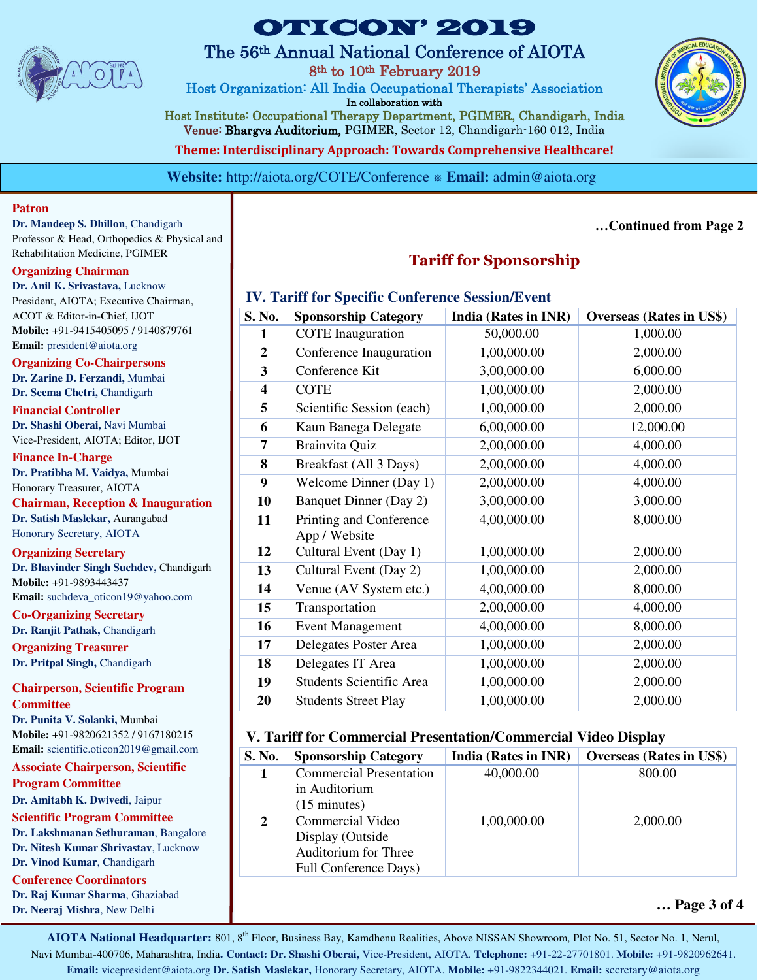

## The 56th Annual National Conference of AIOTA

8th to 10th February 2019

Host Organization: All India Occupational Therapists' Association In collaboration with

Host Institute: Occupational Therapy Department, PGIMER, Chandigarh, India Venue: Bhargva Auditorium, PGIMER, Sector 12, Chandigarh-160 012, India

**Theme: Interdisciplinary Approach: Towards Comprehensive Healthcare!** 

**Website:** http://aiota.org/COTE/Conference  $\ast$  **Email:** admin@aiota.org

**Patron** 

**Dr. Mandeep S. Dhillon**, Chandigarh Professor & Head, Orthopedics & Physical and Rehabilitation Medicine, PGIMER

## **Organizing Chairman**

**Dr. Anil K. Srivastava,** Lucknow President, AIOTA; Executive Chairman, ACOT & Editor-in-Chief, IJOT **Mobile:** +91-9415405095 / 9140879761 **Email:** [president@aiota.org](mailto:president@aiota.org) 

**Organizing Co-Chairpersons Dr. Zarine D. Ferzandi,** Mumbai **Dr. Seema Chetri,** Chandigarh

**Financial Controller Dr. Shashi Oberai,** Navi Mumbai Vice-President, AIOTA; Editor, IJOT

**Finance In-Charge Dr. Pratibha M. Vaidya,** Mumbai Honorary Treasurer, AIOTA

**Chairman, Reception & Inauguration Dr. Satish Maslekar,** Aurangabad

Honorary Secretary, AIOTA **Organizing Secretary** 

**Dr. Bhavinder Singh Suchdev,** Chandigarh **Mobile:** +91-9893443437 **Email:** suchdeva\_oticon19@yahoo.com

**Co-Organizing Secretary Dr. Ranjit Pathak,** Chandigarh

**Organizing Treasurer Dr. Pritpal Singh,** Chandigarh

**Chairperson, Scientific Program Committee** 

**Dr. Punita V. Solanki,** Mumbai **Mobile:** +91-9820621352 / 9167180215 **Email:** [scientific.oticon2019@gmail.com](mailto:scientific.oticon2019@gmail.com) 

**Associate Chairperson, Scientific Program Committee**

**Dr. Amitabh K. Dwivedi**, Jaipur

**Scientific Program Committee** 

**Dr. Lakshmanan Sethuraman**, Bangalore **Dr. Nitesh Kumar Shrivastav**, Lucknow **Dr. Vinod Kumar**, Chandigarh

**Conference Coordinators** 

**Dr. Raj Kumar Sharma**, Ghaziabad **Dr. Neeraj Mishra**, New Delhi

## **Tariff for Sponsorship**

## **IV. Tariff for Specific Conference Session/Event**

| S. No.                  | <b>Sponsorship Category</b>              | India (Rates in INR) | <b>Overseas (Rates in US\$)</b> |
|-------------------------|------------------------------------------|----------------------|---------------------------------|
| 1                       | <b>COTE</b> Inauguration                 | 50,000.00            | 1,000.00                        |
| $\boldsymbol{2}$        | Conference Inauguration                  | 1,00,000.00          | 2,000.00                        |
| $\mathbf{3}$            | Conference Kit                           | 3,00,000.00          | 6,000.00                        |
| $\overline{\mathbf{4}}$ | <b>COTE</b>                              | 1,00,000.00          | 2,000.00                        |
| 5                       | Scientific Session (each)                | 1,00,000.00          | 2,000.00                        |
| 6                       | Kaun Banega Delegate                     | 6,00,000.00          | 12,000.00                       |
| 7                       | Brainvita Quiz                           | 2,00,000.00          | 4,000.00                        |
| 8                       | Breakfast (All 3 Days)                   | 2,00,000.00          | 4,000.00                        |
| 9                       | Welcome Dinner (Day 1)                   | 2,00,000.00          | 4,000.00                        |
| 10                      | <b>Banquet Dinner (Day 2)</b>            | 3,00,000.00          | 3,000.00                        |
| 11                      | Printing and Conference<br>App / Website | 4,00,000.00          | 8,000.00                        |
| 12                      | Cultural Event (Day 1)                   | 1,00,000.00          | 2,000.00                        |
| 13                      | Cultural Event (Day 2)                   | 1,00,000.00          | 2,000.00                        |
| 14                      | Venue (AV System etc.)                   | 4,00,000.00          | 8,000.00                        |
| 15                      | Transportation                           | 2,00,000.00          | 4,000.00                        |
| 16                      | <b>Event Management</b>                  | 4,00,000.00          | 8,000.00                        |
| 17                      | Delegates Poster Area                    | 1,00,000.00          | 2,000.00                        |
| 18                      | Delegates IT Area                        | 1,00,000.00          | 2,000.00                        |
| 19                      | <b>Students Scientific Area</b>          | 1,00,000.00          | 2,000.00                        |
| 20                      | <b>Students Street Play</b>              | 1,00,000.00          | 2,000.00                        |

## **V. Tariff for Commercial Presentation/Commercial Video Display**

| S. No. | <b>Sponsorship Category</b>                                                           | India (Rates in INR) | <b>Overseas (Rates in US\$)</b> |
|--------|---------------------------------------------------------------------------------------|----------------------|---------------------------------|
|        | <b>Commercial Presentation</b><br>in Auditorium<br>$(15 \text{ minutes})$             | 40,000.00            | 800.00                          |
| 2      | Commercial Video<br>Display (Outside<br>Auditorium for Three<br>Full Conference Days) | 1,00,000.00          | 2,000.00                        |

## **… Page 3 of 4**

**AIOTA National Headquarter:** 801, 8th Floor, Business Bay, Kamdhenu Realities, Above NISSAN Showroom, Plot No. 51, Sector No. 1, Nerul, Navi Mumbai-400706, Maharashtra, India**. Contact: Dr. Shashi Oberai,** Vice-President, AIOTA. **Telephone:** +91-22-27701801. **Mobile:** +91-9820962641. **Email:** vicepresident@aiota.org **Dr. Satish Maslekar,** Honorary Secretary, AIOTA. **Mobile:** +91-9822344021. **Email:** secretary@aiota.org



**…Continued from Page 2**